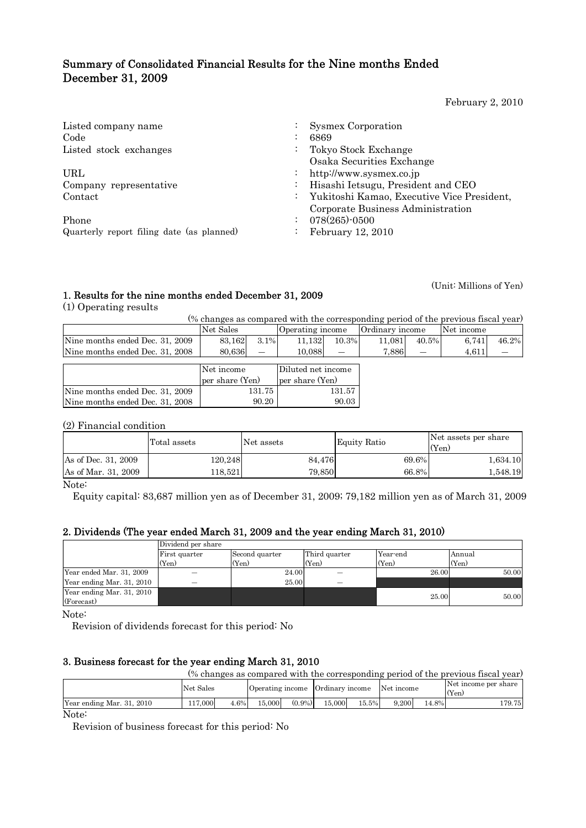# Summary of Consolidated Financial Results for the Nine months Ended December 31, 2009

February 2, 2010

| Listed company name<br>Code                                       | Sysmex Corporation<br>6869                                                      |
|-------------------------------------------------------------------|---------------------------------------------------------------------------------|
| Listed stock exchanges                                            | Tokyo Stock Exchange<br>Osaka Securities Exchange                               |
| URL                                                               | http://www.sysmex.co.jp                                                         |
| Company representative<br>$\ddot{\cdot}$                          | Hisashi Ietsugu, President and CEO                                              |
| Contact                                                           | Yukitoshi Kamao, Executive Vice President,<br>Corporate Business Administration |
| Phone                                                             | 078(265)-0500                                                                   |
| Quarterly report filing date (as planned)<br>$\ddot{\phantom{0}}$ | February 12, 2010                                                               |

(Unit: Millions of Yen)

# 1. Results for the nine months ended December 31, 2009

(1) Operating results

(% changes as compared with the corresponding period of the previous fiscal year)

|                                 | Net Sales |                          | Operating income |       | Ordinary income |                          | Net income |       |
|---------------------------------|-----------|--------------------------|------------------|-------|-----------------|--------------------------|------------|-------|
| Nine months ended Dec. 31, 2009 | 83.162    | $3.1\%$                  | 11.132           | 10.3% | 11.081          | 40.5%                    | 6.741      | 46.2% |
| Nine months ended Dec. 31, 2008 | 80.636l   | $\overline{\phantom{0}}$ | 10.088           | --    | 7.886           | $\overline{\phantom{m}}$ | 4.611      |       |
|                                 |           |                          |                  |       |                 |                          |            |       |

|                                 | Net income<br>per share (Yen) | Diluted net income<br>per share (Yen) |
|---------------------------------|-------------------------------|---------------------------------------|
| Nine months ended Dec. 31, 2009 | 131.75                        | 131.57                                |
| Nine months ended Dec. 31, 2008 | 90.20                         | 90.03                                 |

### (2) Financial condition

|                     | Total assets | Net assets | <b>Equity Ratio</b> | Net assets per share<br>(Yen) |
|---------------------|--------------|------------|---------------------|-------------------------------|
| As of Dec. 31, 2009 | 120.248      | 84.476     | 69.6%               | 1,634.10                      |
| As of Mar. 31, 2009 | 118.521      | 79.850     | 66.8%               | 1,548.19                      |

Note:

Equity capital: 83,687 million yen as of December 31, 2009; 79,182 million yen as of March 31, 2009

## 2. Dividends (The year ended March 31, 2009 and the year ending March 31, 2010)

|                           | Dividend per share |                |               |          |        |
|---------------------------|--------------------|----------------|---------------|----------|--------|
|                           | First quarter      | Second quarter | Third quarter | Year-end | Annual |
|                           | (Yen)              | (Yen)          | (Yen)         | (Yen)    | (Yen)  |
| Year ended Mar. 31, 2009  |                    | 24.00          |               | 26.00    | 50.00  |
| Year ending Mar. 31, 2010 |                    | 25.00          |               |          |        |
| Year ending Mar. 31, 2010 |                    |                |               | 25.00    | 50.00  |
| (Forecast)                |                    |                |               |          |        |

Note:

Revision of dividends forecast for this period: No

## 3. Business forecast for the year ending March 31, 2010

|                                                     |           |      |        |           |        |       |                                             |       | (% changes as compared with the corresponding period of the previous fiscal year) |
|-----------------------------------------------------|-----------|------|--------|-----------|--------|-------|---------------------------------------------|-------|-----------------------------------------------------------------------------------|
|                                                     | Net Sales |      |        |           |        |       | Operating income Ordinary income Net income |       | Net income per share<br>(Yen)                                                     |
| Year ending Mar. 31, 2010                           | 117.000   | 4.6% | 15.000 | $(0.9\%)$ | 15.000 | 15.5% | 9.200                                       | 14.8% | 179.751                                                                           |
| $\mathbf{X}$ $\mathbf{Y}$ $\mathbf{Y}$ $\mathbf{Y}$ |           |      |        |           |        |       |                                             |       |                                                                                   |

Note:

Revision of business forecast for this period: No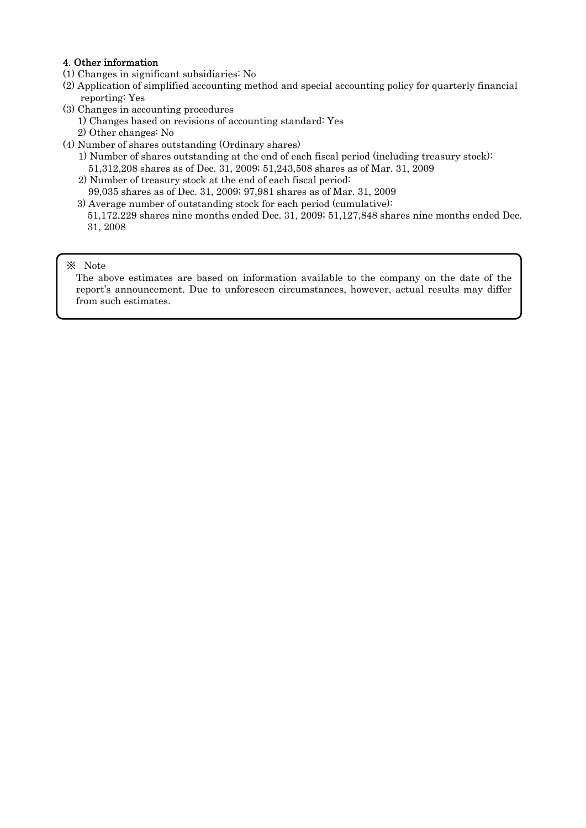## 4. Other information

- (1) Changes in significant subsidiaries: No
- (2) Application of simplified accounting method and special accounting policy for quarterly financial reporting: Yes
- (3) Changes in accounting procedures
	- 1) Changes based on revisions of accounting standard: Yes
	- 2) Other changes: No
- (4) Number of shares outstanding (Ordinary shares)
	- 1) Number of shares outstanding at the end of each fiscal period (including treasury stock): 51,312,208 shares as of Dec. 31, 2009; 51,243,508 shares as of Mar. 31, 2009
	- 2) Number of treasury stock at the end of each fiscal period:
	- 99,035 shares as of Dec. 31, 2009; 97,981 shares as of Mar. 31, 2009
	- 3) Average number of outstanding stock for each period (cumulative): 51,172,229 shares nine months ended Dec. 31, 2009; 51,127,848 shares nine months ended Dec. 31, 2008

## ※ Note

The above estimates are based on information available to the company on the date of the report's announcement. Due to unforeseen circumstances, however, actual results may differ from such estimates.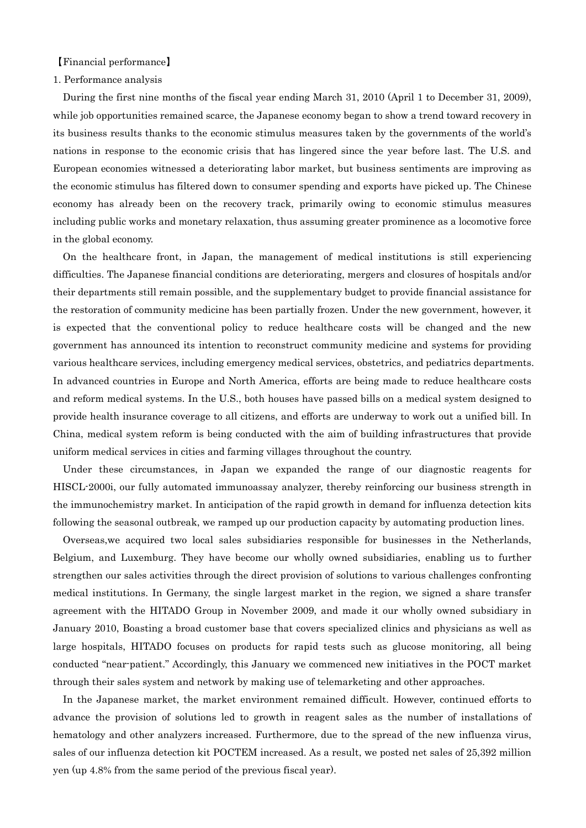#### 【Financial performance】

#### 1. Performance analysis

During the first nine months of the fiscal year ending March 31, 2010 (April 1 to December 31, 2009), while job opportunities remained scarce, the Japanese economy began to show a trend toward recovery in its business results thanks to the economic stimulus measures taken by the governments of the world's nations in response to the economic crisis that has lingered since the year before last. The U.S. and European economies witnessed a deteriorating labor market, but business sentiments are improving as the economic stimulus has filtered down to consumer spending and exports have picked up. The Chinese economy has already been on the recovery track, primarily owing to economic stimulus measures including public works and monetary relaxation, thus assuming greater prominence as a locomotive force in the global economy.

On the healthcare front, in Japan, the management of medical institutions is still experiencing difficulties. The Japanese financial conditions are deteriorating, mergers and closures of hospitals and/or their departments still remain possible, and the supplementary budget to provide financial assistance for the restoration of community medicine has been partially frozen. Under the new government, however, it is expected that the conventional policy to reduce healthcare costs will be changed and the new government has announced its intention to reconstruct community medicine and systems for providing various healthcare services, including emergency medical services, obstetrics, and pediatrics departments. In advanced countries in Europe and North America, efforts are being made to reduce healthcare costs and reform medical systems. In the U.S., both houses have passed bills on a medical system designed to provide health insurance coverage to all citizens, and efforts are underway to work out a unified bill. In China, medical system reform is being conducted with the aim of building infrastructures that provide uniform medical services in cities and farming villages throughout the country.

Under these circumstances, in Japan we expanded the range of our diagnostic reagents for HISCL-2000i, our fully automated immunoassay analyzer, thereby reinforcing our business strength in the immunochemistry market. In anticipation of the rapid growth in demand for influenza detection kits following the seasonal outbreak, we ramped up our production capacity by automating production lines.

Overseas,we acquired two local sales subsidiaries responsible for businesses in the Netherlands, Belgium, and Luxemburg. They have become our wholly owned subsidiaries, enabling us to further strengthen our sales activities through the direct provision of solutions to various challenges confronting medical institutions. In Germany, the single largest market in the region, we signed a share transfer agreement with the HITADO Group in November 2009, and made it our wholly owned subsidiary in January 2010, Boasting a broad customer base that covers specialized clinics and physicians as well as large hospitals, HITADO focuses on products for rapid tests such as glucose monitoring, all being conducted "near-patient." Accordingly, this January we commenced new initiatives in the POCT market through their sales system and network by making use of telemarketing and other approaches.

In the Japanese market, the market environment remained difficult. However, continued efforts to advance the provision of solutions led to growth in reagent sales as the number of installations of hematology and other analyzers increased. Furthermore, due to the spread of the new influenza virus, sales of our influenza detection kit POCTEM increased. As a result, we posted net sales of 25,392 million yen (up 4.8% from the same period of the previous fiscal year).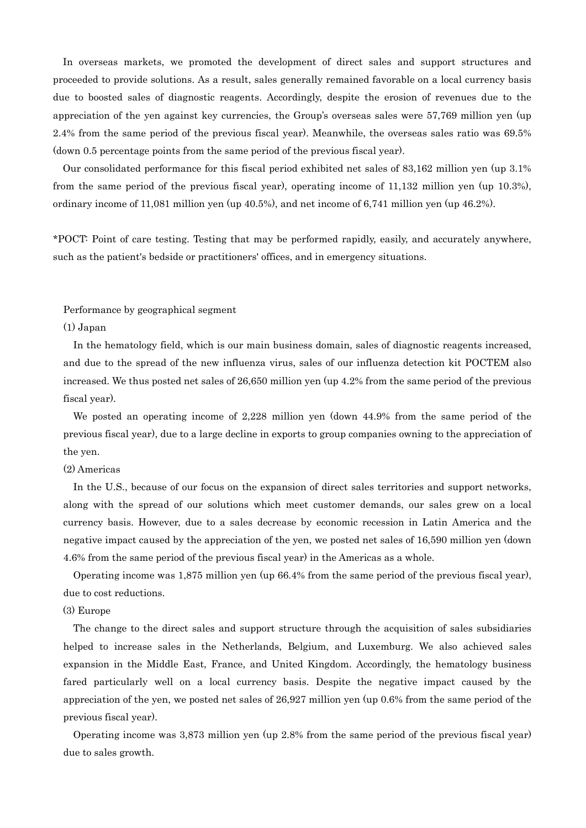In overseas markets, we promoted the development of direct sales and support structures and proceeded to provide solutions. As a result, sales generally remained favorable on a local currency basis due to boosted sales of diagnostic reagents. Accordingly, despite the erosion of revenues due to the appreciation of the yen against key currencies, the Group's overseas sales were 57,769 million yen (up 2.4% from the same period of the previous fiscal year). Meanwhile, the overseas sales ratio was 69.5% (down 0.5 percentage points from the same period of the previous fiscal year).

Our consolidated performance for this fiscal period exhibited net sales of 83,162 million yen (up 3.1% from the same period of the previous fiscal year), operating income of 11,132 million yen (up 10.3%), ordinary income of 11,081 million yen (up 40.5%), and net income of 6,741 million yen (up 46.2%).

\*POCT: Point of care testing. Testing that may be performed rapidly, easily, and accurately anywhere, such as the patient's bedside or practitioners' offices, and in emergency situations.

### Performance by geographical segment

#### (1) Japan

In the hematology field, which is our main business domain, sales of diagnostic reagents increased, and due to the spread of the new influenza virus, sales of our influenza detection kit POCTEM also increased. We thus posted net sales of 26,650 million yen (up 4.2% from the same period of the previous fiscal year).

We posted an operating income of 2,228 million yen (down 44.9% from the same period of the previous fiscal year), due to a large decline in exports to group companies owning to the appreciation of the yen.

### (2) Americas

In the U.S., because of our focus on the expansion of direct sales territories and support networks, along with the spread of our solutions which meet customer demands, our sales grew on a local currency basis. However, due to a sales decrease by economic recession in Latin America and the negative impact caused by the appreciation of the yen, we posted net sales of 16,590 million yen (down 4.6% from the same period of the previous fiscal year) in the Americas as a whole.

Operating income was 1,875 million yen (up 66.4% from the same period of the previous fiscal year), due to cost reductions.

#### (3) Europe

The change to the direct sales and support structure through the acquisition of sales subsidiaries helped to increase sales in the Netherlands, Belgium, and Luxemburg. We also achieved sales expansion in the Middle East, France, and United Kingdom. Accordingly, the hematology business fared particularly well on a local currency basis. Despite the negative impact caused by the appreciation of the yen, we posted net sales of 26,927 million yen (up 0.6% from the same period of the previous fiscal year).

Operating income was 3,873 million yen (up 2.8% from the same period of the previous fiscal year) due to sales growth.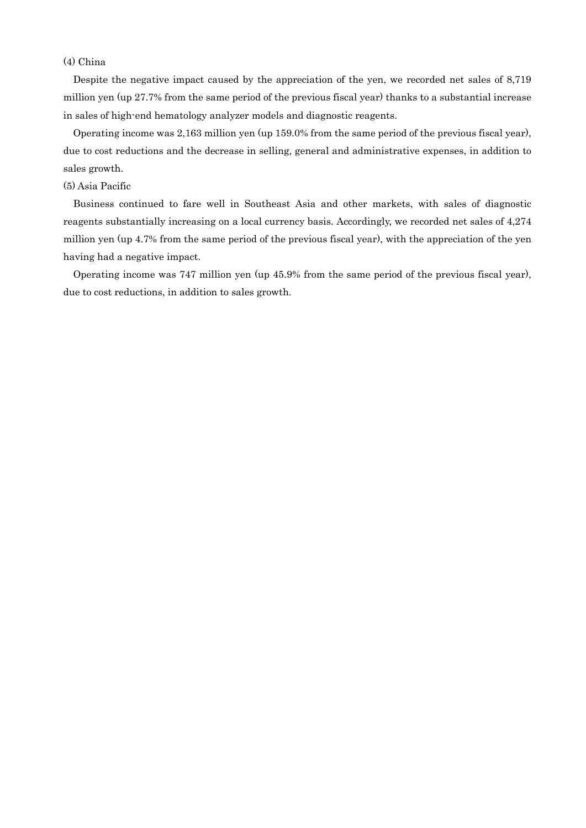## (4) China

Despite the negative impact caused by the appreciation of the yen, we recorded net sales of 8,719 million yen (up 27.7% from the same period of the previous fiscal year) thanks to a substantial increase in sales of high-end hematology analyzer models and diagnostic reagents.

Operating income was 2,163 million yen (up 159.0% from the same period of the previous fiscal year), due to cost reductions and the decrease in selling, general and administrative expenses, in addition to sales growth.

#### (5) Asia Pacific

Business continued to fare well in Southeast Asia and other markets, with sales of diagnostic reagents substantially increasing on a local currency basis. Accordingly, we recorded net sales of 4,274 million yen (up 4.7% from the same period of the previous fiscal year), with the appreciation of the yen having had a negative impact.

Operating income was 747 million yen (up 45.9% from the same period of the previous fiscal year), due to cost reductions, in addition to sales growth.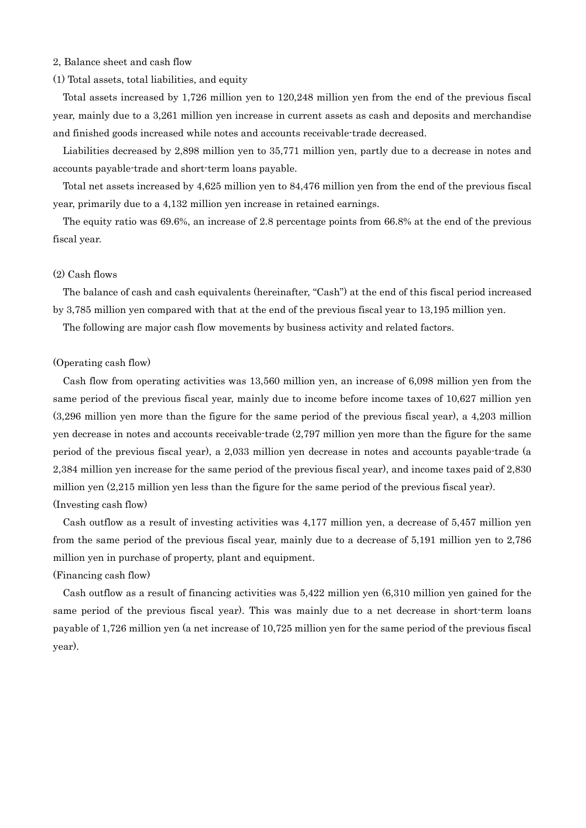#### 2, Balance sheet and cash flow

#### (1) Total assets, total liabilities, and equity

Total assets increased by 1,726 million yen to 120,248 million yen from the end of the previous fiscal year, mainly due to a 3,261 million yen increase in current assets as cash and deposits and merchandise and finished goods increased while notes and accounts receivable-trade decreased.

Liabilities decreased by 2,898 million yen to 35,771 million yen, partly due to a decrease in notes and accounts payable-trade and short-term loans payable.

Total net assets increased by 4,625 million yen to 84,476 million yen from the end of the previous fiscal year, primarily due to a 4,132 million yen increase in retained earnings.

The equity ratio was 69.6%, an increase of 2.8 percentage points from 66.8% at the end of the previous fiscal year.

## (2) Cash flows

The balance of cash and cash equivalents (hereinafter, "Cash") at the end of this fiscal period increased by 3,785 million yen compared with that at the end of the previous fiscal year to 13,195 million yen.

The following are major cash flow movements by business activity and related factors.

#### (Operating cash flow)

Cash flow from operating activities was 13,560 million yen, an increase of 6,098 million yen from the same period of the previous fiscal year, mainly due to income before income taxes of 10,627 million yen (3,296 million yen more than the figure for the same period of the previous fiscal year), a 4,203 million yen decrease in notes and accounts receivable-trade (2,797 million yen more than the figure for the same period of the previous fiscal year), a 2,033 million yen decrease in notes and accounts payable-trade (a 2,384 million yen increase for the same period of the previous fiscal year), and income taxes paid of 2,830 million yen (2,215 million yen less than the figure for the same period of the previous fiscal year). (Investing cash flow)

Cash outflow as a result of investing activities was 4,177 million yen, a decrease of 5,457 million yen from the same period of the previous fiscal year, mainly due to a decrease of 5,191 million yen to 2,786 million yen in purchase of property, plant and equipment.

### (Financing cash flow)

Cash outflow as a result of financing activities was 5,422 million yen (6,310 million yen gained for the same period of the previous fiscal year). This was mainly due to a net decrease in short-term loans payable of 1,726 million yen (a net increase of 10,725 million yen for the same period of the previous fiscal year).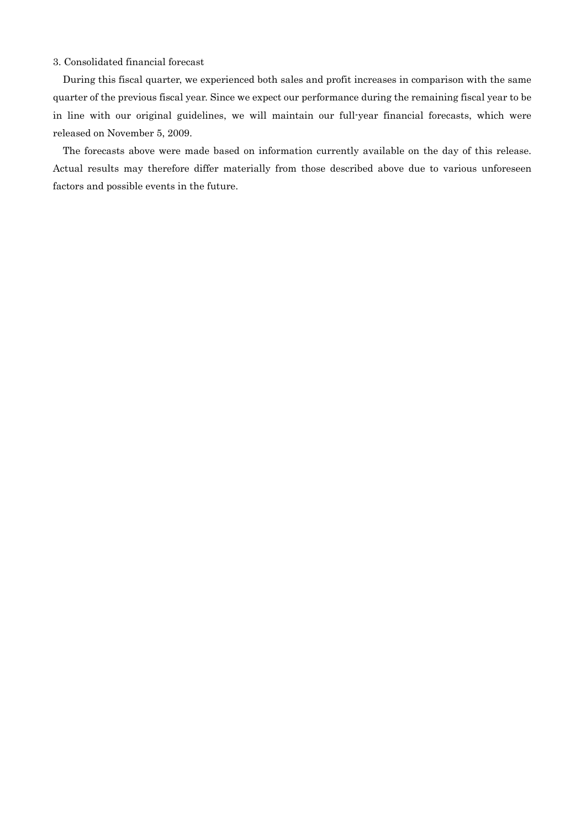### 3. Consolidated financial forecast

During this fiscal quarter, we experienced both sales and profit increases in comparison with the same quarter of the previous fiscal year. Since we expect our performance during the remaining fiscal year to be in line with our original guidelines, we will maintain our full-year financial forecasts, which were released on November 5, 2009.

The forecasts above were made based on information currently available on the day of this release. Actual results may therefore differ materially from those described above due to various unforeseen factors and possible events in the future.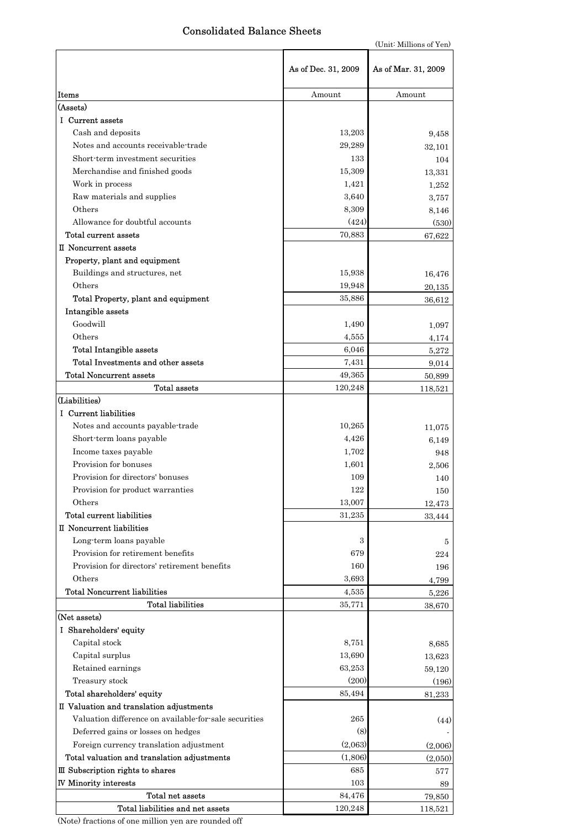# Consolidated Balance Sheets

|                                                       |                     | (Unit: Millions of Yen) |
|-------------------------------------------------------|---------------------|-------------------------|
|                                                       | As of Dec. 31, 2009 | As of Mar. 31, 2009     |
| Items                                                 | Amount              | Amount                  |
| (Assets)                                              |                     |                         |
| I Current assets                                      |                     |                         |
| Cash and deposits                                     | 13,203              | 9,458                   |
| Notes and accounts receivable-trade                   | 29,289              | 32,101                  |
| Short-term investment securities                      | 133                 | 104                     |
| Merchandise and finished goods                        | 15,309              | 13,331                  |
| Work in process                                       | 1,421               | 1,252                   |
| Raw materials and supplies                            | 3,640               | 3,757                   |
| Others                                                | 8,309               | 8,146                   |
| Allowance for doubtful accounts                       | (424)               | (530)                   |
| Total current assets                                  | 70,883              | 67,622                  |
| II Noncurrent assets                                  |                     |                         |
| Property, plant and equipment                         |                     |                         |
| Buildings and structures, net                         | 15,938              | 16,476                  |
| Others                                                | 19,948              |                         |
| Total Property, plant and equipment                   |                     | 20,135                  |
| Intangible assets                                     | 35,886              | 36,612                  |
| Goodwill                                              |                     |                         |
| Others                                                | 1,490               | 1,097                   |
|                                                       | 4,555               | 4,174                   |
| <b>Total Intangible assets</b>                        | 6,046               | 5,272                   |
| Total Investments and other assets                    | 7,431               | 9,014                   |
| <b>Total Noncurrent assets</b>                        | 49,365              | 50,899                  |
| Total assets                                          | 120,248             | 118,521                 |
| (Liabilities)                                         |                     |                         |
| I Current liabilities                                 |                     |                         |
| Notes and accounts payable-trade                      | 10,265              | 11,075                  |
| Short-term loans payable                              | 4,426               | 6,149                   |
| Income taxes payable                                  | 1,702               | 948                     |
| Provision for bonuses                                 | 1,601               | 2,506                   |
| Provision for directors' bonuses                      | 109                 | 140                     |
| Provision for product warranties                      | 122                 | 150                     |
| Others                                                | 13,007              | 12,473                  |
| Total current liabilities                             | 31,235              | 33,444                  |
| II Noncurrent liabilities                             |                     |                         |
| Long-term loans payable                               | 3                   | 5                       |
| Provision for retirement benefits                     | 679                 | 224                     |
| Provision for directors' retirement benefits          | 160                 | 196                     |
| Others                                                | 3,693               | 4,799                   |
| <b>Total Noncurrent liabilities</b>                   | 4,535               | 5,226                   |
| <b>Total liabilities</b>                              | 35,771              | 38,670                  |
| (Net assets)                                          |                     |                         |
| I Shareholders' equity                                |                     |                         |
| Capital stock                                         | 8,751               | 8,685                   |
| Capital surplus                                       | 13,690              | 13,623                  |
| Retained earnings                                     | 63,253              | 59,120                  |
| Treasury stock                                        | (200)               | (196)                   |
| Total shareholders' equity                            | 85,494              | 81,233                  |
| II Valuation and translation adjustments              |                     |                         |
| Valuation difference on available-for-sale securities | 265                 | (44)                    |
| Deferred gains or losses on hedges                    | (8)                 |                         |
| Foreign currency translation adjustment               | (2,063)             | (2,006)                 |
| Total valuation and translation adjustments           | (1,806)             | (2,050)                 |
| III Subscription rights to shares                     | 685                 | 577                     |
| <b>IV Minority interests</b>                          | 103                 | 89                      |
| Total net assets                                      | 84,476              | 79,850                  |
| Total liabilities and net assets                      | 120,248             | 118,521                 |

(Note) fractions of one million yen are rounded off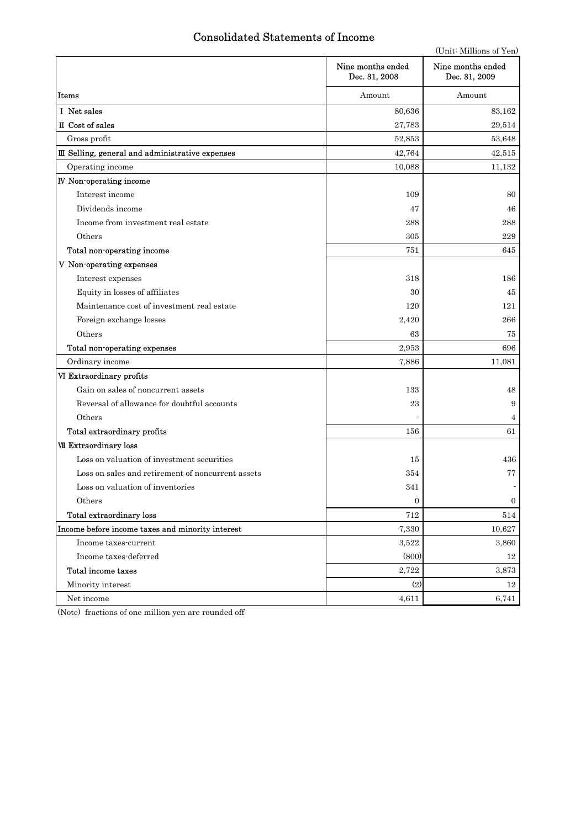# Consolidated Statements of Income

|                                                   |                                    | (Unit: Millions of Yen)            |
|---------------------------------------------------|------------------------------------|------------------------------------|
|                                                   | Nine months ended<br>Dec. 31, 2008 | Nine months ended<br>Dec. 31, 2009 |
| Items                                             | Amount                             | Amount                             |
| I Net sales                                       | 80,636                             | 83,162                             |
| II Cost of sales                                  | 27,783                             | 29,514                             |
| Gross profit                                      | 52,853                             | 53,648                             |
| III Selling, general and administrative expenses  | 42,764                             | 42,515                             |
| Operating income                                  | 10,088                             | 11,132                             |
| IV Non-operating income                           |                                    |                                    |
| Interest income                                   | 109                                | 80                                 |
| Dividends income                                  | 47                                 | 46                                 |
| Income from investment real estate                | 288                                | 288                                |
| Others                                            | 305                                | 229                                |
| Total non-operating income                        | 751                                | 645                                |
| V Non-operating expenses                          |                                    |                                    |
| Interest expenses                                 | 318                                | 186                                |
| Equity in losses of affiliates                    | 30                                 | 45                                 |
| Maintenance cost of investment real estate        | 120                                | 121                                |
| Foreign exchange losses                           | 2,420                              | 266                                |
| Others                                            | 63                                 | 75                                 |
| Total non-operating expenses                      | 2,953                              | 696                                |
| Ordinary income                                   | 7,886                              | 11,081                             |
| VI Extraordinary profits                          |                                    |                                    |
| Gain on sales of noncurrent assets                | 133                                | 48                                 |
| Reversal of allowance for doubtful accounts       | 23                                 | 9                                  |
| Others                                            |                                    | 4                                  |
| Total extraordinary profits                       | 156                                | 61                                 |
| <b>VII Extraordinary loss</b>                     |                                    |                                    |
| Loss on valuation of investment securities        | 15                                 | 436                                |
| Loss on sales and retirement of noncurrent assets | 354                                | 77                                 |
| Loss on valuation of inventories                  | 341                                |                                    |
| Others                                            | $\boldsymbol{0}$                   | 0                                  |
| Total extraordinary loss                          | 712                                | 514                                |
| Income before income taxes and minority interest  | 7,330                              | 10,627                             |
| Income taxes-current                              | 3,522                              | 3,860                              |
| Income taxes-deferred                             | (800)                              | 12                                 |
| Total income taxes                                | 2,722                              | 3,873                              |
| Minority interest                                 | (2)                                | 12                                 |
| Net income                                        | 4,611                              | 6,741                              |

(Note) fractions of one million yen are rounded off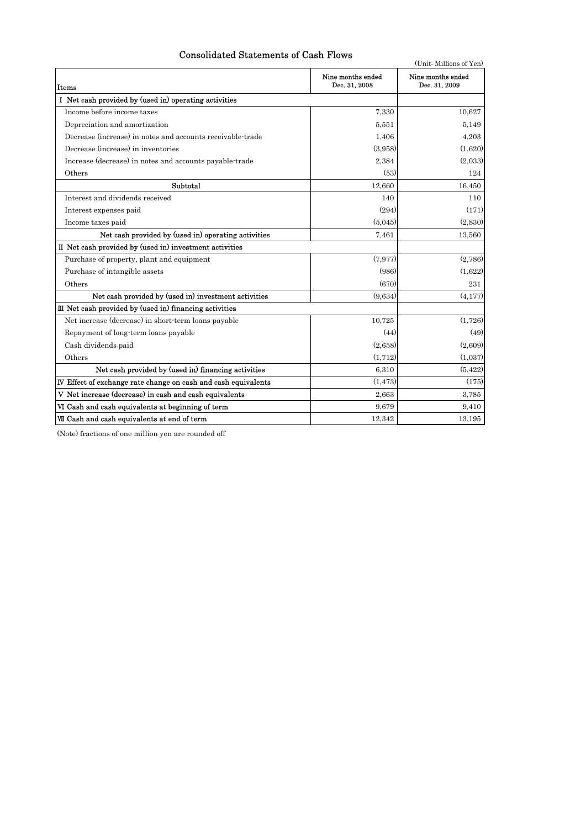## Consolidated Statements of Cash Flows

| Consolidated Statements of Cash Flows<br>(Unit: Millions of Yen) |                                    |                                    |  |  |  |  |  |
|------------------------------------------------------------------|------------------------------------|------------------------------------|--|--|--|--|--|
| Items                                                            | Nine months ended<br>Dec. 31, 2008 | Nine months ended<br>Dec. 31, 2009 |  |  |  |  |  |
| I Net cash provided by (used in) operating activities            |                                    |                                    |  |  |  |  |  |
| Income before income taxes                                       | 7,330                              | 10,627                             |  |  |  |  |  |
| Depreciation and amortization                                    | 5.551                              | 5.149                              |  |  |  |  |  |
| Decrease (increase) in notes and accounts receivable-trade       | 1,406                              | 4,203                              |  |  |  |  |  |
| Decrease (increase) in inventories                               | (3,958)                            | (1,620)                            |  |  |  |  |  |
| Increase (decrease) in notes and accounts payable-trade          | 2,384                              | (2,033)                            |  |  |  |  |  |
| Others                                                           | (53)                               | 124                                |  |  |  |  |  |
| Subtotal                                                         | 12,660                             | 16,450                             |  |  |  |  |  |
| Interest and dividends received                                  | 140                                | 110                                |  |  |  |  |  |
| Interest expenses paid                                           | (294)                              | (171)                              |  |  |  |  |  |
| Income taxes paid                                                | (5.045)                            | (2,830)                            |  |  |  |  |  |
| Net cash provided by (used in) operating activities              | 7,461                              | 13,560                             |  |  |  |  |  |
| II Net cash provided by (used in) investment activities          |                                    |                                    |  |  |  |  |  |
| Purchase of property, plant and equipment                        | (7, 977)                           | (2,786)                            |  |  |  |  |  |
| Purchase of intangible assets                                    | (986)                              | (1,622)                            |  |  |  |  |  |
| Others                                                           | (670)                              | 231                                |  |  |  |  |  |
| Net cash provided by (used in) investment activities             | (9.634)                            | (4.177)                            |  |  |  |  |  |
| III Net cash provided by (used in) financing activities          |                                    |                                    |  |  |  |  |  |
| Net increase (decrease) in short-term loans payable              | 10,725                             | (1,726)                            |  |  |  |  |  |
| Repayment of long-term loans payable                             | (44)                               | (49)                               |  |  |  |  |  |
| Cash dividends paid                                              | (2,658)                            | (2,609)                            |  |  |  |  |  |
| Others                                                           | (1, 712)                           | (1,037)                            |  |  |  |  |  |
| Net cash provided by (used in) financing activities              | 6,310                              | (5, 422)                           |  |  |  |  |  |
| IV Effect of exchange rate change on cash and cash equivalents   | (1.473)                            | (175)                              |  |  |  |  |  |
| V Net increase (decrease) in cash and cash equivalents           | 2.663                              | 3,785                              |  |  |  |  |  |
| VI Cash and cash equivalents at beginning of term                | 9.679                              | 9,410                              |  |  |  |  |  |
| VII Cash and cash equivalents at end of term                     | 12,342                             | 13,195                             |  |  |  |  |  |

(Note) fractions of one million yen are rounded off